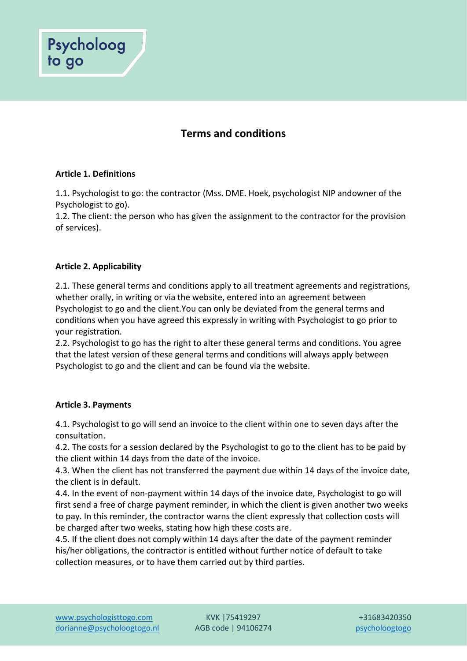

## **Article 1. Definitions**

Psycholoog

to go

1.1. Psychologist to go: the contractor (Mss. DME. Hoek, psychologist NIP andowner of the Psychologist to go).

1.2. The client: the person who has given the assignment to the contractor for the provision of services).

## **Article 2. Applicability**

2.1. These general terms and conditions apply to all treatment agreements and registrations, whether orally, in writing or via the website, entered into an agreement between Psychologist to go and the client.You can only be deviated from the general terms and conditions when you have agreed this expressly in writing with Psychologist to go prior to your registration.

2.2. Psychologist to go has the right to alter these general terms and conditions. You agree that the latest version of these general terms and conditions will always apply between Psychologist to go and the client and can be found via the website.

### **Article 3. Payments**

4.1. Psychologist to go will send an invoice to the client within one to seven days after the consultation.

4.2. The costs for a session declared by the Psychologist to go to the client has to be paid by the client within 14 days from the date of the invoice.

4.3. When the client has not transferred the payment due within 14 days of the invoice date, the client is in default.

4.4. In the event of non-payment within 14 days of the invoice date, Psychologist to go will first send a free of charge payment reminder, in which the client is given another two weeks to pay. In this reminder, the contractor warns the client expressly that collection costs will be charged after two weeks, stating how high these costs are.

4.5. If the client does not comply within 14 days after the date of the payment reminder his/her obligations, the contractor is entitled without further notice of default to take collection measures, or to have them carried out by third parties.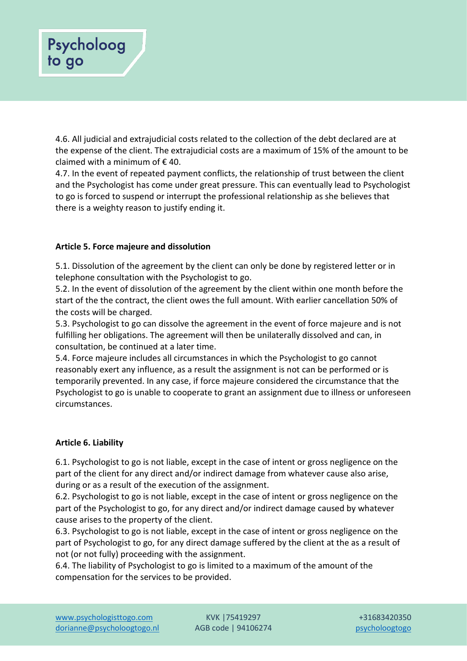# Psycholoog to go

4.6. All judicial and extrajudicial costs related to the collection of the debt declared are at the expense of the client. The extrajudicial costs are a maximum of 15% of the amount to be claimed with a minimum of  $\epsilon$  40.

4.7. In the event of repeated payment conflicts, the relationship of trust between the client and the Psychologist has come under great pressure. This can eventually lead to Psychologist to go is forced to suspend or interrupt the professional relationship as she believes that there is a weighty reason to justify ending it.

# **Article 5. Force majeure and dissolution**

5.1. Dissolution of the agreement by the client can only be done by registered letter or in telephone consultation with the Psychologist to go.

5.2. In the event of dissolution of the agreement by the client within one month before the start of the the contract, the client owes the full amount. With earlier cancellation 50% of the costs will be charged.

5.3. Psychologist to go can dissolve the agreement in the event of force majeure and is not fulfilling her obligations. The agreement will then be unilaterally dissolved and can, in consultation, be continued at a later time.

5.4. Force majeure includes all circumstances in which the Psychologist to go cannot reasonably exert any influence, as a result the assignment is not can be performed or is temporarily prevented. In any case, if force majeure considered the circumstance that the Psychologist to go is unable to cooperate to grant an assignment due to illness or unforeseen circumstances.

# **Article 6. Liability**

6.1. Psychologist to go is not liable, except in the case of intent or gross negligence on the part of the client for any direct and/or indirect damage from whatever cause also arise, during or as a result of the execution of the assignment.

6.2. Psychologist to go is not liable, except in the case of intent or gross negligence on the part of the Psychologist to go, for any direct and/or indirect damage caused by whatever cause arises to the property of the client.

6.3. Psychologist to go is not liable, except in the case of intent or gross negligence on the part of Psychologist to go, for any direct damage suffered by the client at the as a result of not (or not fully) proceeding with the assignment.

6.4. The liability of Psychologist to go is limited to a maximum of the amount of the compensation for the services to be provided.